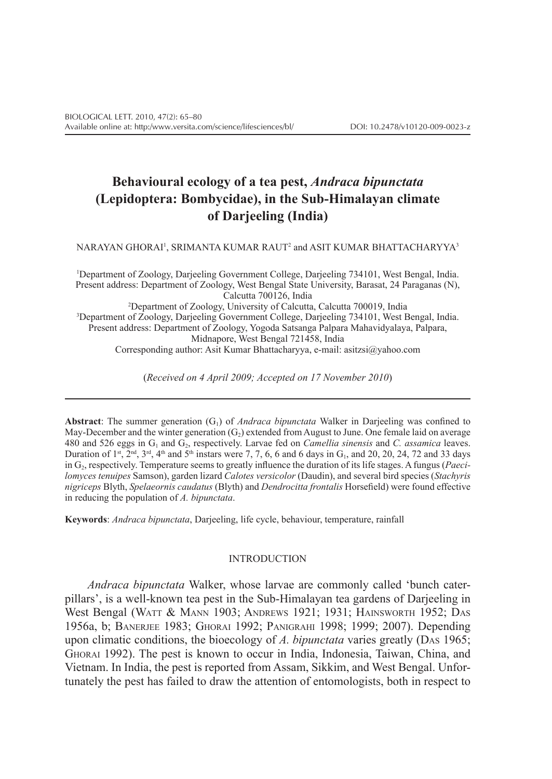# **Behavioural ecology of a tea pest,** *Andraca bipunctata*  **(Lepidoptera: Bombycidae), in the Sub-Himalayan climate of Darjeeling (India)**

NARAYAN GHORAI', SRIMANTA KUMAR RAUT<sup>2</sup> and ASIT KUMAR BHATTACHARYYA<sup>3</sup>

1 Department of Zoology, Darjeeling Government College, Darjeeling 734101, West Bengal, India. Present address: Department of Zoology, West Bengal State University, Barasat, 24 Paraganas (N), Calcutta 700126, India 2 Department of Zoology, University of Calcutta, Calcutta 700019, India 3 Department of Zoology, Darjeeling Government College, Darjeeling 734101, West Bengal, India. Present address: Department of Zoology, Yogoda Satsanga Palpara Mahavidyalaya, Palpara, Midnapore, West Bengal 721458, India Corresponding author: Asit Kumar Bhattacharyya, e‑mail: asitzsi@yahoo.com

(*Received on 4 April 2009; Accepted on 17 November 2010*)

**Abstract**: The summer generation (G1) of *Andraca bipunctata* Walker in Darjeeling was confined to May-December and the winter generation  $(G<sub>2</sub>)$  extended from August to June. One female laid on average 480 and 526 eggs in G1 and G2, respectively. Larvae fed on *Camellia sinensis* and *C. assamica* leaves. Duration of  $1$ <sup>st</sup>,  $2^{nd}$ ,  $3^{rd}$ ,  $4^{th}$  and  $5^{th}$  instars were 7, 7, 6, 6 and 6 days in G<sub>1</sub>, and 20, 20, 24, 72 and 33 days in G2, respectively. Temperature seems to greatly influence the duration of its life stages. A fungus (*Paecilomyces tenuipes* Samson), garden lizard *Calotes versicolor* (Daudin), and several bird species (*Stachyris nigriceps* Blyth, *Spelaeornis caudatus* (Blyth) and *Dendrocitta frontalis* Horsefield) were found effective in reducing the population of *A. bipunctata*.

**Keywords**: *Andraca bipunctata*, Darjeeling, life cycle, behaviour, temperature, rainfall

#### INTRODUCTION

*Andraca bipunctata* Walker, whose larvae are commonly called 'bunch caterpillars', is a well-known tea pest in the Sub-Himalayan tea gardens of Darjeeling in West Bengal (WATT & MANN 1903; ANDREWS 1921; 1931; HAINSWORTH 1952; DAS 1956a, b; Banerjee 1983; Ghorai 1992; Panigrahi 1998; 1999; 2007). Depending upon climatic conditions, the bioecology of *A. bipunctata* varies greatly (Das 1965; Ghorai 1992). The pest is known to occur in India, Indonesia, Taiwan, China, and Vietnam. In India, the pest is reported from Assam, Sikkim, and West Bengal. Unfortunately the pest has failed to draw the attention of entomologists, both in respect to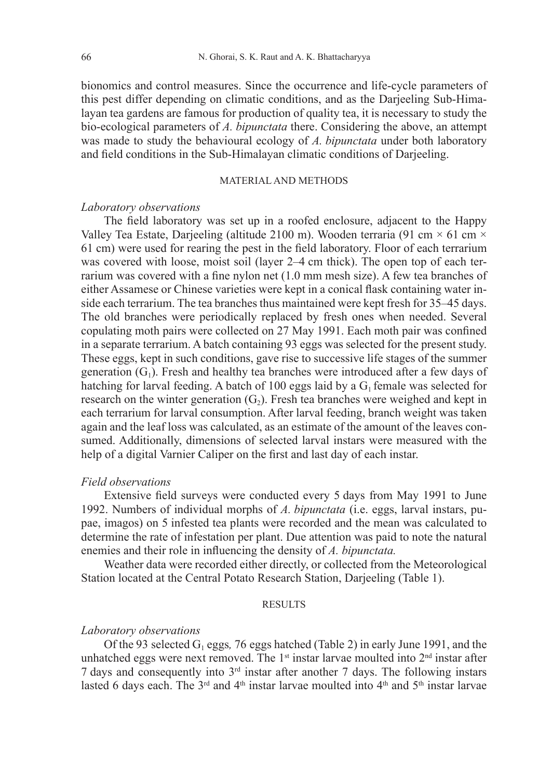bionomics and control measures. Since the occurrence and life-cycle parameters of this pest differ depending on climatic conditions, and as the Darjeeling Sub-Himalayan tea gardens are famous for production of quality tea, it is necessary to study the bio-ecological parameters of *A. bipunctata* there. Considering the above, an attempt was made to study the behavioural ecology of *A. bipunctata* under both laboratory and field conditions in the Sub-Himalayan climatic conditions of Darjeeling.

### MATERIAL AND METHODS

# *Laboratory observations*

The field laboratory was set up in a roofed enclosure, adjacent to the Happy Valley Tea Estate, Darjeeling (altitude 2100 m). Wooden terraria (91 cm  $\times$  61 cm  $\times$ 61 cm) were used for rearing the pest in the field laboratory. Floor of each terrarium was covered with loose, moist soil (layer 2–4 cm thick). The open top of each terrarium was covered with a fine nylon net (1.0 mm mesh size). A few tea branches of either Assamese or Chinese varieties were kept in a conical flask containing water inside each terrarium. The tea branches thus maintained were kept fresh for 35–45 days. The old branches were periodically replaced by fresh ones when needed. Several copulating moth pairs were collected on 27 May 1991. Each moth pair was confined in a separate terrarium. A batch containing 93 eggs was selected for the present study. These eggs, kept in such conditions, gave rise to successive life stages of the summer generation  $(G_1)$ . Fresh and healthy tea branches were introduced after a few days of hatching for larval feeding. A batch of 100 eggs laid by a  $G_1$  female was selected for research on the winter generation  $(G_2)$ . Fresh tea branches were weighed and kept in each terrarium for larval consumption. After larval feeding, branch weight was taken again and the leaf loss was calculated, as an estimate of the amount of the leaves consumed. Additionally, dimensions of selected larval instars were measured with the help of a digital Varnier Caliper on the first and last day of each instar.

#### *Field observations*

Extensive field surveys were conducted every 5 days from May 1991 to June 1992. Numbers of individual morphs of *A. bipunctata* (i.e. eggs, larval instars, pupae, imagos) on 5 infested tea plants were recorded and the mean was calculated to determine the rate of infestation per plant. Due attention was paid to note the natural enemies and their role in influencing the density of *A. bipunctata.*

Weather data were recorded either directly, or collected from the Meteorological Station located at the Central Potato Research Station, Darjeeling (Table 1).

# **RESULTS**

#### *Laboratory observations*

Of the 93 selected G1 eggs*,* 76 eggs hatched (Table 2) in early June 1991, and the unhatched eggs were next removed. The  $1<sup>st</sup>$  instar larvae moulted into  $2<sup>nd</sup>$  instar after 7 days and consequently into  $3<sup>rd</sup>$  instar after another 7 days. The following instars lasted 6 days each. The  $3<sup>rd</sup>$  and  $4<sup>th</sup>$  instar larvae moulted into  $4<sup>th</sup>$  and  $5<sup>th</sup>$  instar larvae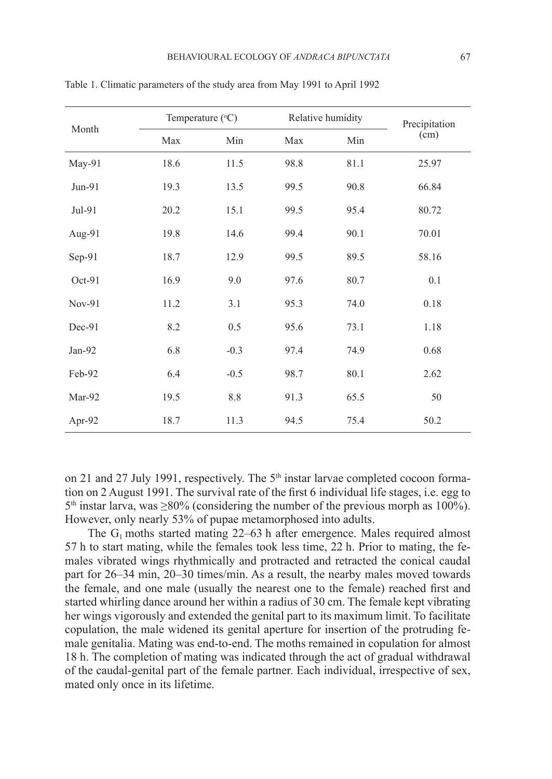|          | Temperature $(^{\circ}C)$ |         |            | Relative humidity | Precipitation |  |
|----------|---------------------------|---------|------------|-------------------|---------------|--|
| Month    | Min<br>Max                |         | Max<br>Min |                   | (cm)          |  |
| May-91   | 18.6                      | 11.5    | 98.8       | 81.1              | 25.97         |  |
| Jun-91   | 19.3                      | 13.5    | 99.5       | 90.8              | 66.84         |  |
| Jul-91   | 20.2                      | 15.1    | 99.5       | 95.4              | 80.72         |  |
| Aug-91   | 19.8                      | 14.6    | 99.4       | 90.1              | 70.01         |  |
| Sep-91   | 18.7                      | 12.9    | 99.5       | 89.5              | 58.16         |  |
| $Oct-91$ | 16.9                      | 9.0     | 97.6       | 80.7              | 0.1           |  |
| $Nov-91$ | 11.2                      | 3.1     | 95.3       | 74.0              | 0.18          |  |
| Dec-91   | 8.2                       | 0.5     | 95.6       | 73.1              | 1.18          |  |
| Jan-92   | 6.8                       | $-0.3$  | 97.4       | 74.9              | 0.68          |  |
| Feb-92   | 6.4                       | $-0.5$  | 98.7       | 80.1              | 2.62          |  |
| Mar-92   | 19.5                      | $8.8\,$ | 91.3       | 65.5              | 50            |  |
| Apr-92   | 18.7                      | 11.3    | 94.5       | 75.4              | 50.2          |  |

Table 1. Climatic parameters of the study area from May 1991 to April 1992

on 21 and 27 July 1991, respectively. The  $5<sup>th</sup>$  instar larvae completed cocoon formation on 2 August 1991. The survival rate of the first 6 individual life stages, i.e. egg to  $5<sup>th</sup>$  instar larva, was  $\geq$ 80% (considering the number of the previous morph as 100%). However, only nearly 53% of pupae metamorphosed into adults.

The  $G_1$  moths started mating 22–63 h after emergence. Males required almost 57 h to start mating, while the females took less time, 22 h. Prior to mating, the females vibrated wings rhythmically and protracted and retracted the conical caudal part for 26–34 min, 20–30 times/min. As a result, the nearby males moved towards the female, and one male (usually the nearest one to the female) reached first and started whirling dance around her within a radius of 30 cm. The female kept vibrating her wings vigorously and extended the genital part to its maximum limit. To facilitate copulation, the male widened its genital aperture for insertion of the protruding female genitalia. Mating was end-to-end. The moths remained in copulation for almost 18 h. The completion of mating was indicated through the act of gradual withdrawal of the caudal-genital part of the female partner. Each individual, irrespective of sex, mated only once in its lifetime.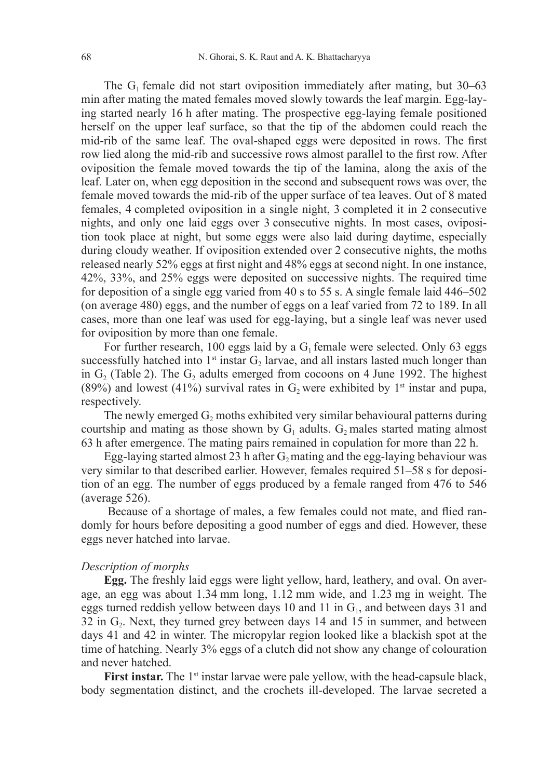The  $G_1$  female did not start oviposition immediately after mating, but 30–63 min after mating the mated females moved slowly towards the leaf margin. Egg-laying started nearly 16 h after mating. The prospective egg-laying female positioned herself on the upper leaf surface, so that the tip of the abdomen could reach the mid-rib of the same leaf. The oval-shaped eggs were deposited in rows. The first row lied along the mid-rib and successive rows almost parallel to the first row. After oviposition the female moved towards the tip of the lamina, along the axis of the leaf. Later on, when egg deposition in the second and subsequent rows was over, the female moved towards the mid-rib of the upper surface of tea leaves. Out of 8 mated females, 4 completed oviposition in a single night, 3 completed it in 2 consecutive nights, and only one laid eggs over 3 consecutive nights. In most cases, oviposition took place at night, but some eggs were also laid during daytime, especially during cloudy weather. If oviposition extended over 2 consecutive nights, the moths released nearly 52% eggs at first night and 48% eggs at second night. In one instance, 42%, 33%, and 25% eggs were deposited on successive nights. The required time for deposition of a single egg varied from 40 s to 55 s. A single female laid 446–502 (on average 480) eggs, and the number of eggs on a leaf varied from 72 to 189. In all cases, more than one leaf was used for egg-laying, but a single leaf was never used for oviposition by more than one female.

For further research, 100 eggs laid by a  $G_1$  female were selected. Only 63 eggs successfully hatched into  $1<sup>st</sup>$  instar  $G_2$  larvae, and all instars lasted much longer than in  $G_2$  (Table 2). The  $G_2$  adults emerged from cocoons on 4 June 1992. The highest (89%) and lowest (41%) survival rates in  $G_2$  were exhibited by 1<sup>st</sup> instar and pupa, respectively.

The newly emerged  $G_2$  moths exhibited very similar behavioural patterns during courtship and mating as those shown by  $G_1$  adults.  $G_2$  males started mating almost 63 h after emergence. The mating pairs remained in copulation for more than 22 h.

Egg-laying started almost 23 h after  $G_2$  mating and the egg-laying behaviour was very similar to that described earlier. However, females required 51–58 s for deposition of an egg. The number of eggs produced by a female ranged from 476 to 546 (average 526).

 Because of a shortage of males, a few females could not mate, and flied randomly for hours before depositing a good number of eggs and died. However, these eggs never hatched into larvae.

### *Description of morphs*

**Egg.** The freshly laid eggs were light yellow, hard, leathery, and oval. On average, an egg was about 1.34 mm long, 1.12 mm wide, and 1.23 mg in weight. The eggs turned reddish yellow between days 10 and 11 in  $G<sub>1</sub>$ , and between days 31 and  $32$  in  $G<sub>2</sub>$ . Next, they turned grey between days 14 and 15 in summer, and between days 41 and 42 in winter. The micropylar region looked like a blackish spot at the time of hatching. Nearly 3% eggs of a clutch did not show any change of colouration and never hatched.

**First instar.** The 1<sup>st</sup> instar larvae were pale yellow, with the head-capsule black, body segmentation distinct, and the crochets ill-developed. The larvae secreted a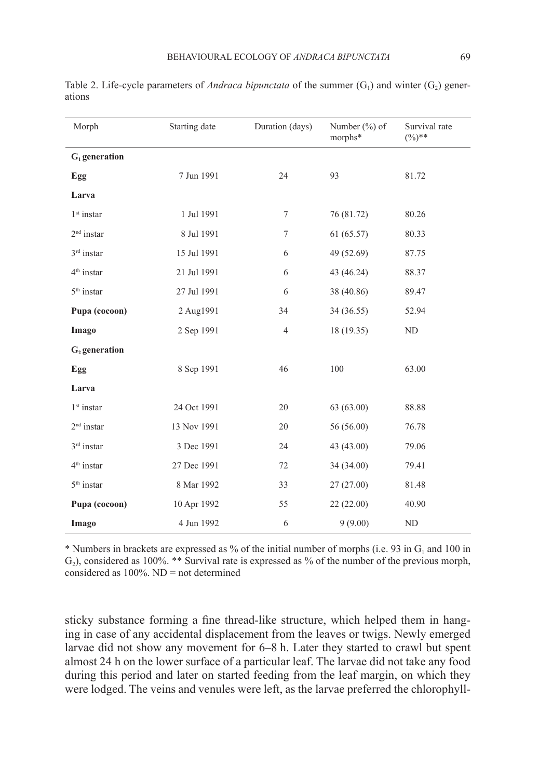| Morph                     | Starting date | Duration (days) | Number $(\% )$ of<br>morphs* | Survival rate<br>$(\%)$ ** |  |
|---------------------------|---------------|-----------------|------------------------------|----------------------------|--|
| $G_1$ generation          |               |                 |                              |                            |  |
| Egg                       | 7 Jun 1991    | 24              | 93                           | 81.72                      |  |
| Larva                     |               |                 |                              |                            |  |
| $1st$ instar              | 1 Jul 1991    | $\tau$          | 76 (81.72)                   | 80.26                      |  |
| $2nd$ instar              | 8 Jul 1991    | $\tau$          | 61(65.57)                    | 80.33                      |  |
| $3rd$ instar              | 15 Jul 1991   | 6               | 49 (52.69)                   | 87.75                      |  |
| $4th$ instar              | 21 Jul 1991   | 6               | 43 (46.24)                   | 88.37                      |  |
| $5th$ instar              | 27 Jul 1991   | 6               | 38 (40.86)                   | 89.47                      |  |
| Pupa (cocoon)             | 2 Aug1991     | 34              | 34 (36.55)                   | 52.94                      |  |
| Imago                     | 2 Sep 1991    | $\overline{4}$  | 18 (19.35)                   | ND                         |  |
| G <sub>2</sub> generation |               |                 |                              |                            |  |
| Egg                       | 8 Sep 1991    | 46              | 100                          | 63.00                      |  |
| Larva                     |               |                 |                              |                            |  |
| $1st$ instar              | 24 Oct 1991   | 20              | 63(63.00)                    | 88.88                      |  |
| $2nd$ instar              | 13 Nov 1991   | 20              | 56 (56.00)                   | 76.78                      |  |
| 3rd instar                | 3 Dec 1991    | 24              | 43 (43.00)                   | 79.06                      |  |
| 4 <sup>th</sup> instar    | 27 Dec 1991   | 72              | 34 (34.00)                   | 79.41                      |  |
| 5 <sup>th</sup> instar    | 8 Mar 1992    | 33              | 27(27.00)                    | 81.48                      |  |
| Pupa (cocoon)             | 10 Apr 1992   | 55              | 22(22.00)                    | 40.90                      |  |
| Imago                     | 4 Jun 1992    | 6               | 9(9.00)                      | ND                         |  |

Table 2. Life-cycle parameters of *Andraca bipunctata* of the summer  $(G_1)$  and winter  $(G_2)$  generations

\* Numbers in brackets are expressed as % of the initial number of morphs (i.e. 93 in  $G_1$  and 100 in  $G<sub>2</sub>$ ), considered as 100%. \*\* Survival rate is expressed as % of the number of the previous morph, considered as  $100\%$ . ND = not determined

sticky substance forming a fine thread-like structure, which helped them in hanging in case of any accidental displacement from the leaves or twigs. Newly emerged larvae did not show any movement for 6–8 h. Later they started to crawl but spent almost 24 h on the lower surface of a particular leaf. The larvae did not take any food during this period and later on started feeding from the leaf margin, on which they were lodged. The veins and venules were left, as the larvae preferred the chlorophyll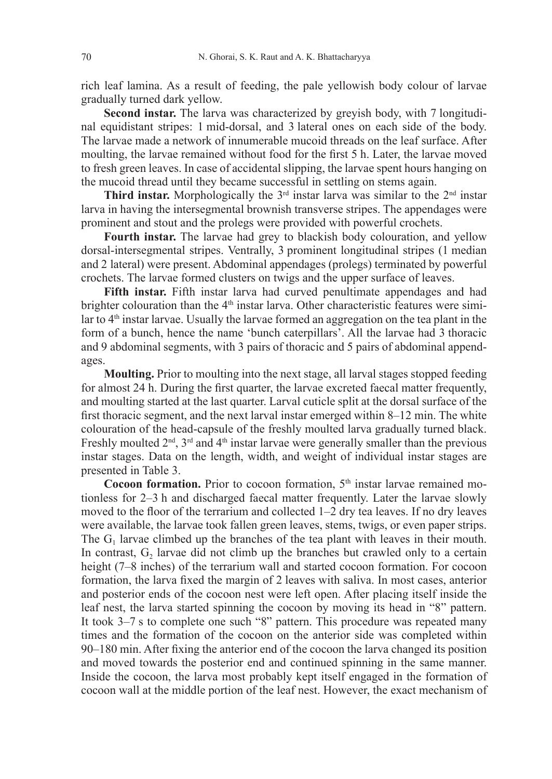rich leaf lamina. As a result of feeding, the pale yellowish body colour of larvae gradually turned dark yellow.

**Second instar.** The larva was characterized by greyish body, with 7 longitudinal equidistant stripes: 1 mid-dorsal, and 3 lateral ones on each side of the body. The larvae made a network of innumerable mucoid threads on the leaf surface. After moulting, the larvae remained without food for the first 5 h. Later, the larvae moved to fresh green leaves. In case of accidental slipping, the larvae spent hours hanging on the mucoid thread until they became successful in settling on stems again.

**Third instar.** Morphologically the  $3<sup>rd</sup>$  instar larva was similar to the  $2<sup>nd</sup>$  instar larva in having the intersegmental brownish transverse stripes. The appendages were prominent and stout and the prolegs were provided with powerful crochets.

**Fourth instar.** The larvae had grey to blackish body colouration, and yellow dorsal-intersegmental stripes. Ventrally, 3 prominent longitudinal stripes (1 median and 2 lateral) were present. Abdominal appendages (prolegs) terminated by powerful crochets. The larvae formed clusters on twigs and the upper surface of leaves.

**Fifth instar.** Fifth instar larva had curved penultimate appendages and had brighter colouration than the  $4<sup>th</sup>$  instar larva. Other characteristic features were similar to 4<sup>th</sup> instar larvae. Usually the larvae formed an aggregation on the tea plant in the form of a bunch, hence the name 'bunch caterpillars'. All the larvae had 3 thoracic and 9 abdominal segments, with 3 pairs of thoracic and 5 pairs of abdominal appendages.

**Moulting.** Prior to moulting into the next stage, all larval stages stopped feeding for almost 24 h. During the first quarter, the larvae excreted faecal matter frequently, and moulting started at the last quarter. Larval cuticle split at the dorsal surface of the first thoracic segment, and the next larval instar emerged within 8–12 min. The white colouration of the head-capsule of the freshly moulted larva gradually turned black. Freshly moulted  $2<sup>nd</sup>$ ,  $3<sup>rd</sup>$  and  $4<sup>th</sup>$  instar larvae were generally smaller than the previous instar stages. Data on the length, width, and weight of individual instar stages are presented in Table 3.

Cocoon formation. Prior to cocoon formation, 5<sup>th</sup> instar larvae remained motionless for 2–3 h and discharged faecal matter frequently. Later the larvae slowly moved to the floor of the terrarium and collected 1–2 dry tea leaves. If no dry leaves were available, the larvae took fallen green leaves, stems, twigs, or even paper strips. The  $G_1$  larvae climbed up the branches of the tea plant with leaves in their mouth. In contrast,  $G<sub>2</sub>$  larvae did not climb up the branches but crawled only to a certain height (7–8 inches) of the terrarium wall and started cocoon formation. For cocoon formation, the larva fixed the margin of 2 leaves with saliva. In most cases, anterior and posterior ends of the cocoon nest were left open. After placing itself inside the leaf nest, the larva started spinning the cocoon by moving its head in "8" pattern. It took 3–7 s to complete one such "8" pattern. This procedure was repeated many times and the formation of the cocoon on the anterior side was completed within 90–180 min. After fixing the anterior end of the cocoon the larva changed its position and moved towards the posterior end and continued spinning in the same manner. Inside the cocoon, the larva most probably kept itself engaged in the formation of cocoon wall at the middle portion of the leaf nest. However, the exact mechanism of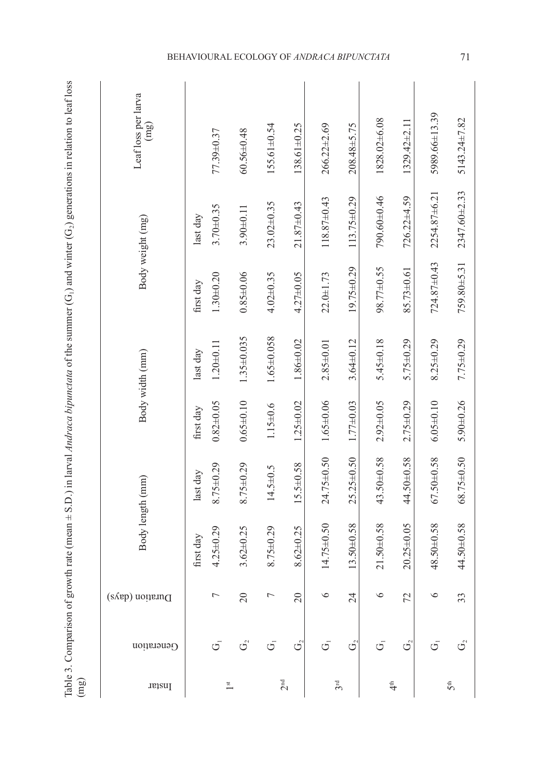| ١                             |                  |
|-------------------------------|------------------|
|                               |                  |
|                               |                  |
|                               |                  |
|                               |                  |
|                               |                  |
|                               |                  |
|                               |                  |
|                               |                  |
|                               |                  |
|                               |                  |
|                               |                  |
|                               |                  |
|                               |                  |
|                               |                  |
| ì<br>ļ<br>)                   |                  |
|                               |                  |
|                               |                  |
|                               |                  |
|                               |                  |
|                               |                  |
|                               |                  |
| Ī<br>$\overline{\phantom{a}}$ |                  |
| ļ                             |                  |
|                               |                  |
|                               |                  |
|                               |                  |
|                               |                  |
|                               |                  |
|                               |                  |
|                               |                  |
|                               |                  |
|                               |                  |
|                               |                  |
| ij                            |                  |
|                               |                  |
|                               |                  |
|                               |                  |
|                               |                  |
|                               |                  |
| I                             |                  |
|                               |                  |
|                               |                  |
| $-11$                         |                  |
|                               |                  |
| l                             |                  |
| ו<br>ו<br>ו<br>Ì              |                  |
| I                             |                  |
|                               |                  |
|                               |                  |
|                               |                  |
|                               |                  |
| l                             |                  |
| J                             |                  |
| $\frac{1}{2}$<br>l            |                  |
| )                             |                  |
| I                             |                  |
|                               |                  |
| くくり                           |                  |
|                               |                  |
| l                             |                  |
| j                             |                  |
| l                             |                  |
| ١<br>¢                        |                  |
|                               |                  |
| $\frac{1}{2}$                 | j<br>Ľ<br>j<br>Ş |
|                               |                  |

|                                                                                                                                                                                     | Leaf loss per larva<br>(mg) | 77.39±0.37                   | $60.56 \pm 0.48$           | $155.61 \pm 0.54$  | $138.61 \pm 0.25$ | $266.22 \pm 2.69$ | $208.48 + 5.75$   | 1828.02±6.08     | $1329.42 \pm 2.11$ | 5989.66±13.39   | 5143.24±7.82    |
|-------------------------------------------------------------------------------------------------------------------------------------------------------------------------------------|-----------------------------|------------------------------|----------------------------|--------------------|-------------------|-------------------|-------------------|------------------|--------------------|-----------------|-----------------|
| Table 3. Comparison of growth rate (mean $\pm$ S.D.) in larval Andraca bipunctata of the summer (G <sub>1</sub> ) and winter (G <sub>2</sub> ) generations in relation to leaf loss | Body weight (mg)            | $3.70 \pm 0.35$<br>last day  | $3.90 \pm 0.11$            | $23.02 \pm 0.35$   | $21.87 \pm 0.43$  | $118.87\pm0.43$   | $113.75 \pm 0.29$ | 790.60±0.46      | $726.22 + 4.59$    | 2254.87±6.21    | 2347.60±2.33    |
|                                                                                                                                                                                     |                             | $1.30 \pm 0.20$<br>first day | $0.85 \pm 0.06$            | $4.02 \pm 0.35$    | $4.27 + 0.05$     | $22.0 + 1.73$     | 19.75±0.29        | $98.77 \pm 0.55$ | 85.73±0.61         | 724.87±0.43     | 759.80±5.31     |
|                                                                                                                                                                                     | Body width (mm)             | $1.20 + 0.11$<br>last day    | 1.35±0.035                 | $1.65 \pm 0.058$   | $1.86 \pm 0.02$   | $2.85 \pm 0.01$   | $3.64 \pm 0.12$   | $5.45 \pm 0.18$  | $5.75 \pm 0.29$    | $8.25 \pm 0.29$ | $7.75 \pm 0.29$ |
|                                                                                                                                                                                     |                             | $0.82 + 0.05$<br>first day   | $0.65 \pm 0.10$            | $1.15 \pm 0.6$     | $1.25 \pm 0.02$   | $1.65 \pm 0.06$   | $1.77 \pm 0.03$   | $2.92 \pm 0.05$  | $2.75 \pm 0.29$    | $6.05 \pm 0.10$ | $5.90 + 0.26$   |
|                                                                                                                                                                                     |                             | $8.75 \pm 0.29$<br>last day  | $8.75 \pm 0.29$            | $14.5 \pm 0.5$     | 15.5±0.58         | 24.75±0.50        | $25.25 \pm 0.50$  | 43.50±0.58       | 44.50±0.58         | 67.50±0.58      | 68.75±0.50      |
|                                                                                                                                                                                     | Body length (mm)            | $4.25 + 0.29$<br>first day   | $3.62 \pm 0.25$            | $8.75 \pm 0.29$    | $8.62 \pm 0.25$   | $14.75 \pm 0.50$  | 13.50±0.58        | $21.50 + 0.58$   | $20.25 \pm 0.05$   | 48.50±0.58      | 44.50±0.58      |
|                                                                                                                                                                                     | Duration (days)             | $\overline{ }$               | $20\,$                     | Γ                  | 20                | 6                 | $\overline{24}$   | ৩                | 72                 | $\circ$         | 33              |
|                                                                                                                                                                                     | Generation                  | $\bar{\mathbb{G}}$           | $G_2$                      | $\bar{\mathbb{G}}$ | ර                 | 5                 | $G^2$             | σ                | $\mathbb{G}^2$     | σ               | $G^2$           |
| (mg)                                                                                                                                                                                | Instar                      |                              | $\overline{\phantom{a}}^t$ |                    | $2^{\rm nd}$      |                   | 3 <sup>rd</sup>   | $\ddot{=}$       |                    |                 | 5 <sup>th</sup> |

# BEHAVIOURAL ECOLOGY OF *ANDRACA BIPUNCTATA* 71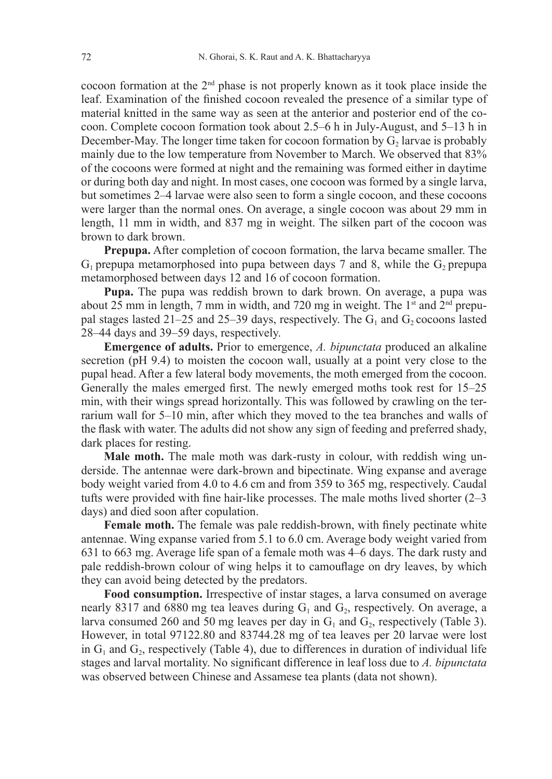cocoon formation at the  $2<sup>nd</sup>$  phase is not properly known as it took place inside the leaf. Examination of the finished cocoon revealed the presence of a similar type of material knitted in the same way as seen at the anterior and posterior end of the cocoon. Complete cocoon formation took about 2.5–6 h in July-August, and 5–13 h in December-May. The longer time taken for cocoon formation by  $G<sub>2</sub>$  larvae is probably mainly due to the low temperature from November to March. We observed that 83% of the cocoons were formed at night and the remaining was formed either in daytime or during both day and night. In most cases, one cocoon was formed by a single larva, but sometimes 2–4 larvae were also seen to form a single cocoon, and these cocoons were larger than the normal ones. On average, a single cocoon was about 29 mm in length, 11 mm in width, and 837 mg in weight. The silken part of the cocoon was brown to dark brown.

**Prepupa.** After completion of cocoon formation, the larva became smaller. The  $G_1$  prepupa metamorphosed into pupa between days 7 and 8, while the  $G_2$  prepupa metamorphosed between days 12 and 16 of cocoon formation.

**Pupa.** The pupa was reddish brown to dark brown. On average, a pupa was about 25 mm in length, 7 mm in width, and 720 mg in weight. The  $1<sup>st</sup>$  and  $2<sup>nd</sup>$  prepupal stages lasted 21–25 and 25–39 days, respectively. The  $G_1$  and  $G_2$  cocoons lasted 28–44 days and 39–59 days, respectively.

**Emergence of adults.** Prior to emergence, *A. bipunctata* produced an alkaline secretion (pH 9.4) to moisten the cocoon wall, usually at a point very close to the pupal head. After a few lateral body movements, the moth emerged from the cocoon. Generally the males emerged first. The newly emerged moths took rest for 15–25 min, with their wings spread horizontally. This was followed by crawling on the terrarium wall for 5–10 min, after which they moved to the tea branches and walls of the flask with water. The adults did not show any sign of feeding and preferred shady, dark places for resting.

**Male moth.** The male moth was dark-rusty in colour, with reddish wing underside. The antennae were dark-brown and bipectinate. Wing expanse and average body weight varied from 4.0 to 4.6 cm and from 359 to 365 mg, respectively. Caudal tufts were provided with fine hair-like processes. The male moths lived shorter (2–3 days) and died soon after copulation.

**Female moth.** The female was pale reddish-brown, with finely pectinate white antennae. Wing expanse varied from 5.1 to 6.0 cm. Average body weight varied from 631 to 663 mg. Average life span of a female moth was 4–6 days. The dark rusty and pale reddish-brown colour of wing helps it to camouflage on dry leaves, by which they can avoid being detected by the predators.

**Food consumption.** Irrespective of instar stages, a larva consumed on average nearly 8317 and 6880 mg tea leaves during  $G_1$  and  $G_2$ , respectively. On average, a larva consumed 260 and 50 mg leaves per day in  $G_1$  and  $G_2$ , respectively (Table 3). However, in total 97122.80 and 83744.28 mg of tea leaves per 20 larvae were lost in  $G_1$  and  $G_2$ , respectively (Table 4), due to differences in duration of individual life stages and larval mortality. No significant difference in leaf loss due to *A. bipunctata* was observed between Chinese and Assamese tea plants (data not shown).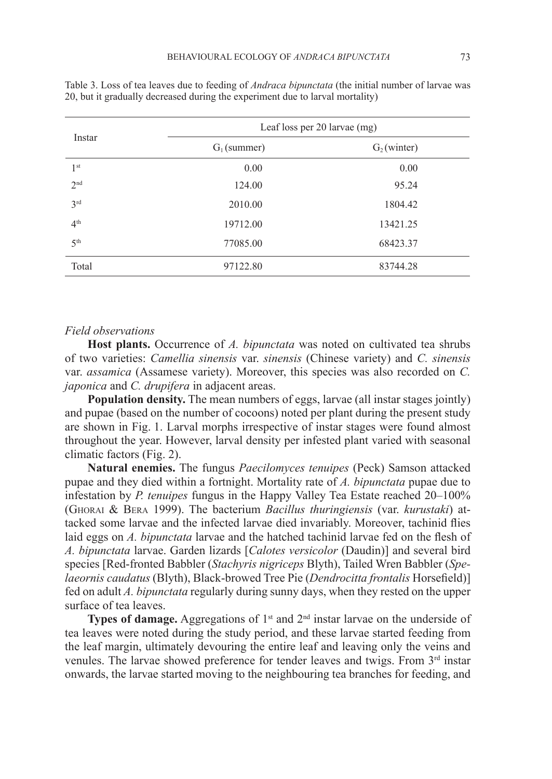|                 | Leaf loss per 20 larvae (mg) |                         |  |  |  |  |
|-----------------|------------------------------|-------------------------|--|--|--|--|
| Instar          | $G_1$ (summer)               | G <sub>2</sub> (winter) |  |  |  |  |
| 1 <sup>st</sup> | 0.00                         | 0.00                    |  |  |  |  |
| 2 <sub>nd</sub> | 124.00                       | 95.24                   |  |  |  |  |
| 3rd             | 2010.00                      | 1804.42                 |  |  |  |  |
| 4 <sup>th</sup> | 19712.00                     | 13421.25                |  |  |  |  |
| 5 <sup>th</sup> | 77085.00                     | 68423.37                |  |  |  |  |
| Total           | 97122.80                     | 83744.28                |  |  |  |  |

Table 3. Loss of tea leaves due to feeding of *Andraca bipunctata* (the initial number of larvae was 20, but it gradually decreased during the experiment due to larval mortality)

#### *Field observations*

**Host plants.** Occurrence of *A. bipunctata* was noted on cultivated tea shrubs of two varieties: *Camellia sinensis* var. *sinensis* (Chinese variety) and *C. sinensis* var. *assamica* (Assamese variety). Moreover, this species was also recorded on *C. japonica* and *C. drupifera* in adjacent areas.

**Population density.** The mean numbers of eggs, larvae (all instar stages jointly) and pupae (based on the number of cocoons) noted per plant during the present study are shown in Fig. 1. Larval morphs irrespective of instar stages were found almost throughout the year. However, larval density per infested plant varied with seasonal climatic factors (Fig. 2).

**Natural enemies.** The fungus *Paecilomyces tenuipes* (Peck) Samson attacked pupae and they died within a fortnight. Mortality rate of *A. bipunctata* pupae due to infestation by *P. tenuipes* fungus in the Happy Valley Tea Estate reached 20–100% (Ghorai & Bera 1999). The bacterium *Bacillus thuringiensis* (var. *kurustaki*) attacked some larvae and the infected larvae died invariably. Moreover, tachinid flies laid eggs on *A. bipunctata* larvae and the hatched tachinid larvae fed on the flesh of *A. bipunctata* larvae. Garden lizards [*Calotes versicolor* (Daudin)] and several bird species [Red-fronted Babbler (*Stachyris nigriceps* Blyth), Tailed Wren Babbler (*Spelaeornis caudatus* (Blyth), Black-browed Tree Pie (*Dendrocitta frontalis* Horsefield)] fed on adult *A. bipunctata* regularly during sunny days, when they rested on the upper surface of tea leaves.

**Types of damage.** Aggregations of 1<sup>st</sup> and 2<sup>nd</sup> instar larvae on the underside of tea leaves were noted during the study period, and these larvae started feeding from the leaf margin, ultimately devouring the entire leaf and leaving only the veins and venules. The larvae showed preference for tender leaves and twigs. From 3<sup>rd</sup> instar onwards, the larvae started moving to the neighbouring tea branches for feeding, and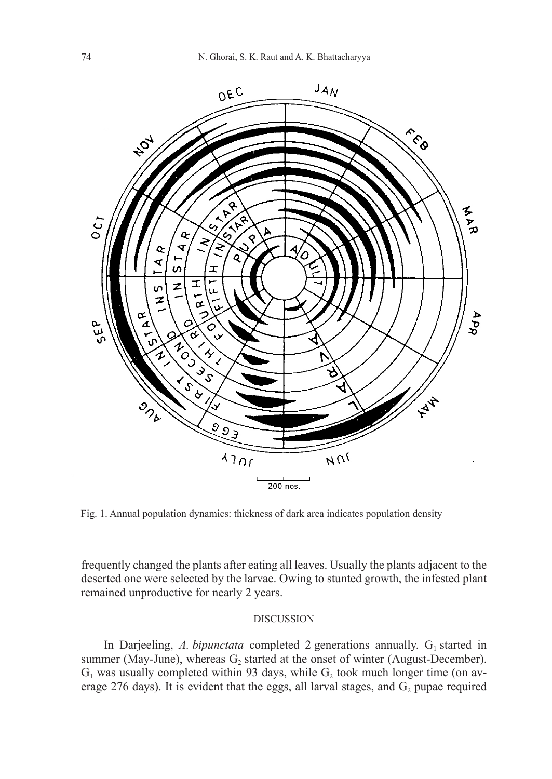

Fig. 1. Annual population dynamics: thickness of dark area indicates population density

frequently changed the plants after eating all leaves. Usually the plants adjacent to the deserted one were selected by the larvae. Owing to stunted growth, the infested plant remained unproductive for nearly 2 years.

# DISCUSSION

In Darjeeling, A. *bipunctata* completed 2 generations annually.  $G<sub>1</sub>$  started in summer (May-June), whereas  $G_2$  started at the onset of winter (August-December).  $G_1$  was usually completed within 93 days, while  $G_2$  took much longer time (on average 276 days). It is evident that the eggs, all larval stages, and  $G_2$  pupae required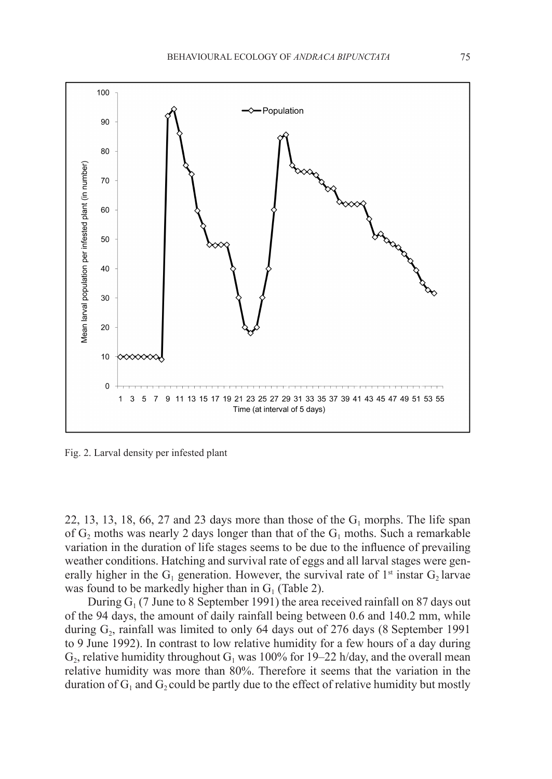

Fig. 2. Larval density per infested plant

22, 13, 13, 18, 66, 27 and 23 days more than those of the  $G_1$  morphs. The life span of  $G_2$  moths was nearly 2 days longer than that of the  $G_1$  moths. Such a remarkable variation in the duration of life stages seems to be due to the influence of prevailing weather conditions. Hatching and survival rate of eggs and all larval stages were generally higher in the  $G_1$  generation. However, the survival rate of 1<sup>st</sup> instar  $G_2$  larvae was found to be markedly higher than in  $G<sub>1</sub>$  (Table 2).

During  $G_1$  (7 June to 8 September 1991) the area received rainfall on 87 days out of the 94 days, the amount of daily rainfall being between 0.6 and 140.2 mm, while during  $G<sub>2</sub>$ , rainfall was limited to only 64 days out of 276 days (8 September 1991) to 9 June 1992). In contrast to low relative humidity for a few hours of a day during  $G<sub>2</sub>$ , relative humidity throughout  $G<sub>1</sub>$  was 100% for 19–22 h/day, and the overall mean relative humidity was more than 80%. Therefore it seems that the variation in the duration of  $G_1$  and  $G_2$  could be partly due to the effect of relative humidity but mostly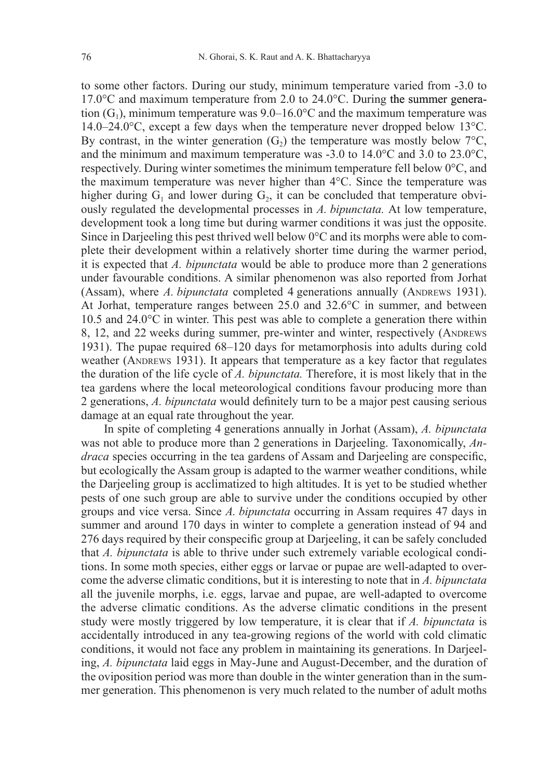to some other factors. During our study, minimum temperature varied from -3.0 to 17.0°C and maximum temperature from 2.0 to 24.0°C. During the summer generation  $(G_1)$ , minimum temperature was 9.0–16.0°C and the maximum temperature was  $14.0-24.0\degree$ C, except a few days when the temperature never dropped below 13 $\degree$ C. By contrast, in the winter generation  $(G_2)$  the temperature was mostly below 7<sup>o</sup>C, and the minimum and maximum temperature was  $-3.0$  to  $14.0^{\circ}$ C and  $3.0$  to  $23.0^{\circ}$ C. respectively. During winter sometimes the minimum temperature fell below 0°C, and the maximum temperature was never higher than 4°C. Since the temperature was higher during  $G_1$  and lower during  $G_2$ , it can be concluded that temperature obviously regulated the developmental processes in *A. bipunctata.* At low temperature, development took a long time but during warmer conditions it was just the opposite. Since in Darjeeling this pest thrived well below 0°C and its morphs were able to complete their development within a relatively shorter time during the warmer period, it is expected that *A. bipunctata* would be able to produce more than 2 generations under favourable conditions. A similar phenomenon was also reported from Jorhat (Assam), where *A. bipunctata* completed 4 generations annually (ANDREWS 1931). At Jorhat, temperature ranges between 25.0 and 32.6°C in summer, and between 10.5 and 24.0°C in winter. This pest was able to complete a generation there within 8, 12, and 22 weeks during summer, pre-winter and winter, respectively (ANDREWS 1931). The pupae required 68–120 days for metamorphosis into adults during cold weather (ANDREWS 1931). It appears that temperature as a key factor that regulates the duration of the life cycle of *A. bipunctata.* Therefore, it is most likely that in the tea gardens where the local meteorological conditions favour producing more than 2 generations, *A. bipunctata* would definitely turn to be a major pest causing serious damage at an equal rate throughout the year.

In spite of completing 4 generations annually in Jorhat (Assam), *A. bipunctata*  was not able to produce more than 2 generations in Darjeeling. Taxonomically, *Andraca* species occurring in the tea gardens of Assam and Darjeeling are conspecific, but ecologically the Assam group is adapted to the warmer weather conditions, while the Darjeeling group is acclimatized to high altitudes. It is yet to be studied whether pests of one such group are able to survive under the conditions occupied by other groups and vice versa. Since *A. bipunctata* occurring in Assam requires 47 days in summer and around 170 days in winter to complete a generation instead of 94 and 276 days required by their conspecific group at Darjeeling, it can be safely concluded that *A. bipunctata* is able to thrive under such extremely variable ecological conditions. In some moth species, either eggs or larvae or pupae are well-adapted to overcome the adverse climatic conditions, but it is interesting to note that in *A. bipunctata*  all the juvenile morphs, i.e. eggs, larvae and pupae, are well-adapted to overcome the adverse climatic conditions. As the adverse climatic conditions in the present study were mostly triggered by low temperature, it is clear that if *A. bipunctata* is accidentally introduced in any tea-growing regions of the world with cold climatic conditions, it would not face any problem in maintaining its generations. In Darjeeling, *A. bipunctata* laid eggs in May-June and August-December, and the duration of the oviposition period was more than double in the winter generation than in the summer generation. This phenomenon is very much related to the number of adult moths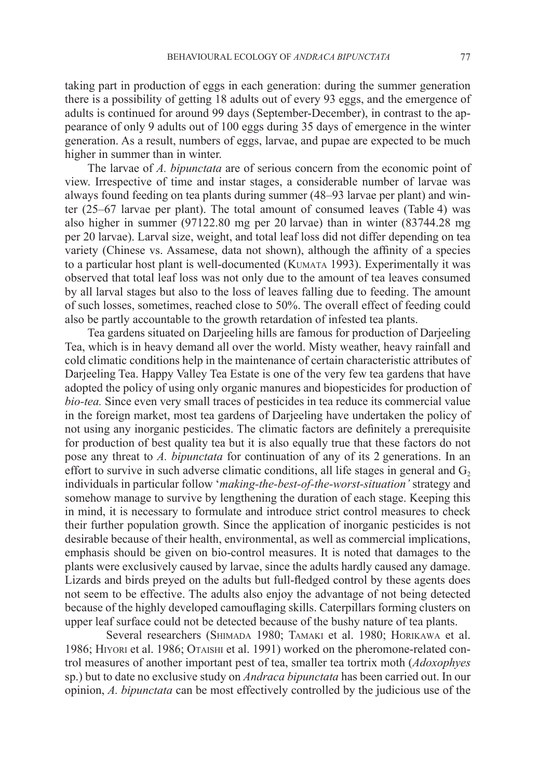taking part in production of eggs in each generation: during the summer generation there is a possibility of getting 18 adults out of every 93 eggs, and the emergence of adults is continued for around 99 days (September-December), in contrast to the appearance of only 9 adults out of 100 eggs during 35 days of emergence in the winter generation. As a result, numbers of eggs, larvae, and pupae are expected to be much higher in summer than in winter.

The larvae of *A. bipunctata* are of serious concern from the economic point of view. Irrespective of time and instar stages, a considerable number of larvae was always found feeding on tea plants during summer (48–93 larvae per plant) and winter (25–67 larvae per plant). The total amount of consumed leaves (Table 4) was also higher in summer (97122.80 mg per 20 larvae) than in winter (83744.28 mg per 20 larvae). Larval size, weight, and total leaf loss did not differ depending on tea variety (Chinese vs. Assamese, data not shown), although the affinity of a species to a particular host plant is well-documented (KUMATA 1993). Experimentally it was observed that total leaf loss was not only due to the amount of tea leaves consumed by all larval stages but also to the loss of leaves falling due to feeding. The amount of such losses, sometimes, reached close to 50%. The overall effect of feeding could also be partly accountable to the growth retardation of infested tea plants.

Tea gardens situated on Darjeeling hills are famous for production of Darjeeling Tea, which is in heavy demand all over the world. Misty weather, heavy rainfall and cold climatic conditions help in the maintenance of certain characteristic attributes of Darjeeling Tea. Happy Valley Tea Estate is one of the very few tea gardens that have adopted the policy of using only organic manures and biopesticides for production of *bio-tea.* Since even very small traces of pesticides in tea reduce its commercial value in the foreign market, most tea gardens of Darjeeling have undertaken the policy of not using any inorganic pesticides. The climatic factors are definitely a prerequisite for production of best quality tea but it is also equally true that these factors do not pose any threat to *A. bipunctata* for continuation of any of its 2 generations. In an effort to survive in such adverse climatic conditions, all life stages in general and  $G<sub>2</sub>$ individuals in particular follow '*making-the-best-of-the-worst-situation'* strategy and somehow manage to survive by lengthening the duration of each stage. Keeping this in mind, it is necessary to formulate and introduce strict control measures to check their further population growth. Since the application of inorganic pesticides is not desirable because of their health, environmental, as well as commercial implications, emphasis should be given on bio-control measures. It is noted that damages to the plants were exclusively caused by larvae, since the adults hardly caused any damage. Lizards and birds preyed on the adults but full-fledged control by these agents does not seem to be effective. The adults also enjoy the advantage of not being detected because of the highly developed camouflaging skills. Caterpillars forming clusters on upper leaf surface could not be detected because of the bushy nature of tea plants.

Several researchers (SHIMADA 1980; TAMAKI et al. 1980; HORIKAWA et al. 1986; HIYORI et al. 1986; OTAISHI et al. 1991) worked on the pheromone-related control measures of another important pest of tea, smaller tea tortrix moth (*Adoxophyes* sp.) but to date no exclusive study on *Andraca bipunctata* has been carried out. In our opinion, *A. bipunctata* can be most effectively controlled by the judicious use of the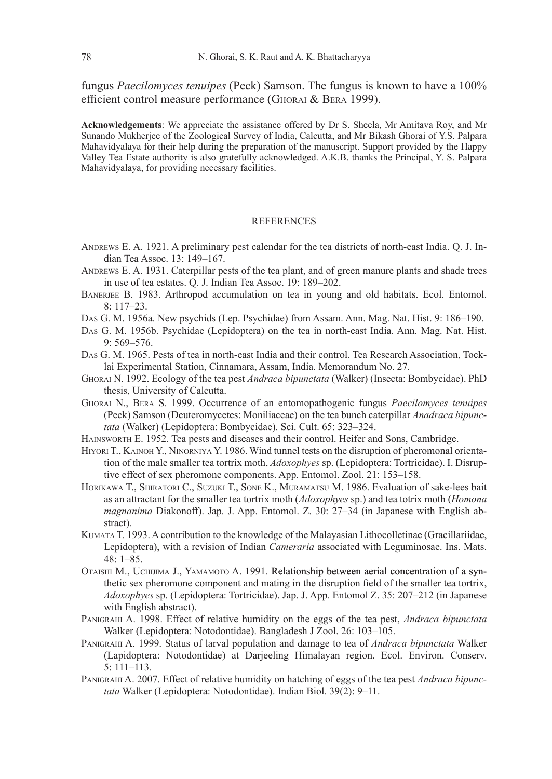fungus *Paecilomyces tenuipes* (Peck) Samson. The fungus is known to have a 100% efficient control measure performance (Ghorai & Bera 1999).

**Acknowledgements**: We appreciate the assistance offered by Dr S. Sheela, Mr Amitava Roy, and Mr Sunando Mukherjee of the Zoological Survey of India, Calcutta, and Mr Bikash Ghorai of Y.S. Palpara Mahavidyalaya for their help during the preparation of the manuscript. Support provided by the Happy Valley Tea Estate authority is also gratefully acknowledged. A.K.B. thanks the Principal, Y. S. Palpara Mahavidyalaya, for providing necessary facilities.

### **REFERENCES**

- ANDREWS E. A. 1921. A preliminary pest calendar for the tea districts of north-east India. O. J. Indian Tea Assoc. 13: 149–167.
- ANDREWS E. A. 1931. Caterpillar pests of the tea plant, and of green manure plants and shade trees in use of tea estates. Q. J. Indian Tea Assoc. 19: 189–202.
- BANERJEE B. 1983. Arthropod accumulation on tea in young and old habitats. Ecol. Entomol. 8: 117–23.
- Das G. M. 1956a. New psychids (Lep. Psychidae) from Assam. Ann. Mag. Nat. Hist. 9: 186–190.
- Das G. M. 1956b. Psychidae (Lepidoptera) on the tea in north-east India. Ann. Mag. Nat. Hist. 9: 569–576.
- Das G. M. 1965. Pests of tea in north-east India and their control. Tea Research Association, Tocklai Experimental Station, Cinnamara, Assam, India. Memorandum No. 27.
- Ghorai N. 1992. Ecology of the tea pest *Andraca bipunctata* (Walker) (Insecta: Bombycidae). PhD thesis, University of Calcutta.
- Ghorai N., Bera S. 1999. Occurrence of an entomopathogenic fungus *Paecilomyces tenuipes* (Peck) Samson (Deuteromycetes: Moniliaceae) on the tea bunch caterpillar *Anadraca bipunctata* (Walker) (Lepidoptera: Bombycidae). Sci. Cult. 65: 323–324.
- Hainsworth E. 1952. Tea pests and diseases and their control. Heifer and Sons, Cambridge.
- HIYORI T., KAINOH Y., NINORNIYA Y. 1986. Wind tunnel tests on the disruption of pheromonal orientation of the male smaller tea tortrix moth, *Adoxophyes* sp. (Lepidoptera: Tortricidae). I. Disruptive effect of sex pheromone components. App. Entomol. Zool. 21: 153–158.
- Horikawa T., Shiratori C., Suzuki T., Sone K., Muramatsu M. 1986. Evaluation of sake-lees bait as an attractant for the smaller tea tortrix moth (*Adoxophyes* sp.) and tea totrix moth (*Homona magnanima* Diakonoff). Jap. J. App. Entomol. Z. 30: 27–34 (in Japanese with English abstract).
- Kumata T. 1993. A contribution to the knowledge of the Malayasian Lithocolletinae (Gracillariidae, Lepidoptera), with a revision of Indian *Cameraria* associated with Leguminosae. Ins. Mats. 48: 1–85.
- Otaishi M., Uchijima J., Yamamoto A. 1991. Relationship between aerial concentration of a synthetic sex pheromone component and mating in the disruption field of the smaller tea tortrix, *Adoxophyes* sp. (Lepidoptera: Tortricidae). Jap. J. App. Entomol Z. 35: 207–212 (in Japanese with English abstract).
- Panigrahi A. 1998. Effect of relative humidity on the eggs of the tea pest, *Andraca bipunctata*  Walker (Lepidoptera: Notodontidae). Bangladesh J Zool. 26: 103–105.
- Panigrahi A. 1999. Status of larval population and damage to tea of *Andraca bipunctata* Walker (Lapidoptera: Notodontidae) at Darjeeling Himalayan region. Ecol. Environ. Conserv. 5: 111–113.
- Panigrahi A. 2007. Effect of relative humidity on hatching of eggs of the tea pest *Andraca bipunctata* Walker (Lepidoptera: Notodontidae). Indian Biol. 39(2): 9–11.